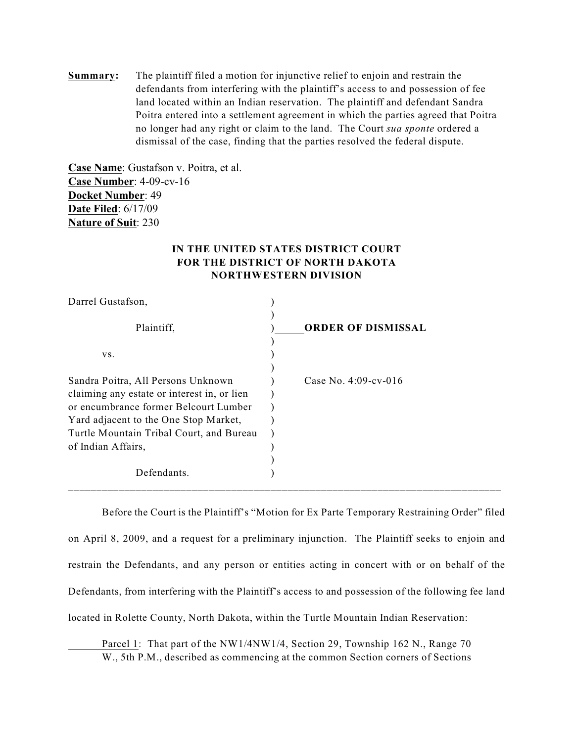**Summary:** The plaintiff filed a motion for injunctive relief to enjoin and restrain the defendants from interfering with the plaintiff's access to and possession of fee land located within an Indian reservation. The plaintiff and defendant Sandra Poitra entered into a settlement agreement in which the parties agreed that Poitra no longer had any right or claim to the land. The Court *sua sponte* ordered a dismissal of the case, finding that the parties resolved the federal dispute.

**Case Name**: Gustafson v. Poitra, et al. **Case Number**: 4-09-cv-16 **Docket Number**: 49 **Date Filed**: 6/17/09 **Nature of Suit**: 230

## **IN THE UNITED STATES DISTRICT COURT FOR THE DISTRICT OF NORTH DAKOTA NORTHWESTERN DIVISION**

| Darrel Gustafson,                                                                                                          |                           |  |
|----------------------------------------------------------------------------------------------------------------------------|---------------------------|--|
| Plaintiff,                                                                                                                 | <b>ORDER OF DISMISSAL</b> |  |
| VS.                                                                                                                        |                           |  |
| Sandra Poitra, All Persons Unknown<br>claiming any estate or interest in, or lien<br>or encumbrance former Belcourt Lumber | Case No. 4:09-cv-016      |  |
| Yard adjacent to the One Stop Market,<br>Turtle Mountain Tribal Court, and Bureau                                          |                           |  |
| of Indian Affairs,                                                                                                         |                           |  |
| Defendants.                                                                                                                |                           |  |

Before the Court is the Plaintiff's "Motion for Ex Parte Temporary Restraining Order" filed on April 8, 2009, and a request for a preliminary injunction. The Plaintiff seeks to enjoin and restrain the Defendants, and any person or entities acting in concert with or on behalf of the Defendants, from interfering with the Plaintiff's access to and possession of the following fee land located in Rolette County, North Dakota, within the Turtle Mountain Indian Reservation:

Parcel 1: That part of the NW1/4NW1/4, Section 29, Township 162 N., Range 70 W., 5th P.M., described as commencing at the common Section corners of Sections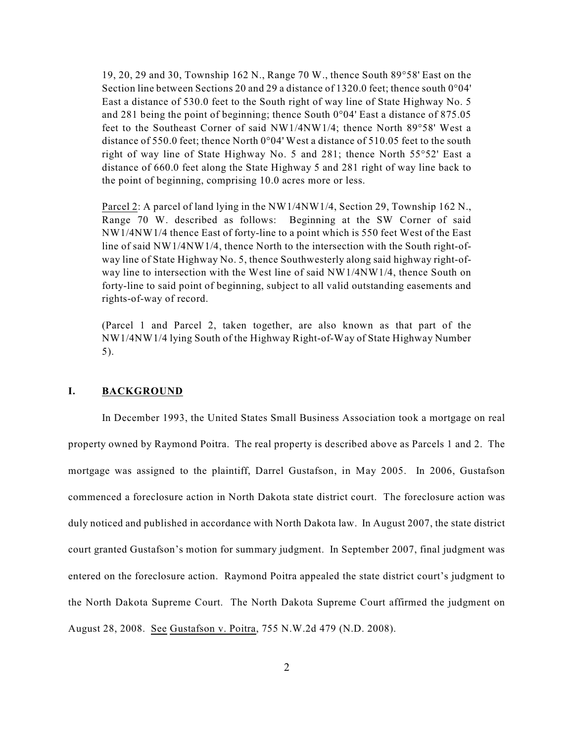19, 20, 29 and 30, Township 162 N., Range 70 W., thence South 89°58' East on the Section line between Sections 20 and 29 a distance of 1320.0 feet; thence south 0°04' East a distance of 530.0 feet to the South right of way line of State Highway No. 5 and 281 being the point of beginning; thence South  $0^{\circ}04'$  East a distance of 875.05 feet to the Southeast Corner of said NW1/4NW1/4; thence North 89°58' West a distance of 550.0 feet; thence North 0°04' West a distance of 510.05 feet to the south right of way line of State Highway No. 5 and 281; thence North 55°52' East a distance of 660.0 feet along the State Highway 5 and 281 right of way line back to the point of beginning, comprising 10.0 acres more or less.

Parcel 2: A parcel of land lying in the NW1/4NW1/4, Section 29, Township 162 N., Range 70 W. described as follows: Beginning at the SW Corner of said NW1/4NW1/4 thence East of forty-line to a point which is 550 feet West of the East line of said NW1/4NW1/4, thence North to the intersection with the South right-ofway line of State Highway No. 5, thence Southwesterly along said highway right-ofway line to intersection with the West line of said NW1/4NW1/4, thence South on forty-line to said point of beginning, subject to all valid outstanding easements and rights-of-way of record.

(Parcel 1 and Parcel 2, taken together, are also known as that part of the NW1/4NW1/4 lying South of the Highway Right-of-Way of State Highway Number 5).

## **I. BACKGROUND**

In December 1993, the United States Small Business Association took a mortgage on real property owned by Raymond Poitra. The real property is described above as Parcels 1 and 2. The mortgage was assigned to the plaintiff, Darrel Gustafson, in May 2005. In 2006, Gustafson commenced a foreclosure action in North Dakota state district court. The foreclosure action was duly noticed and published in accordance with North Dakota law. In August 2007, the state district court granted Gustafson's motion for summary judgment. In September 2007, final judgment was entered on the foreclosure action. Raymond Poitra appealed the state district court's judgment to the North Dakota Supreme Court. The North Dakota Supreme Court affirmed the judgment on August 28, 2008. See Gustafson v. Poitra, 755 N.W.2d 479 (N.D. 2008).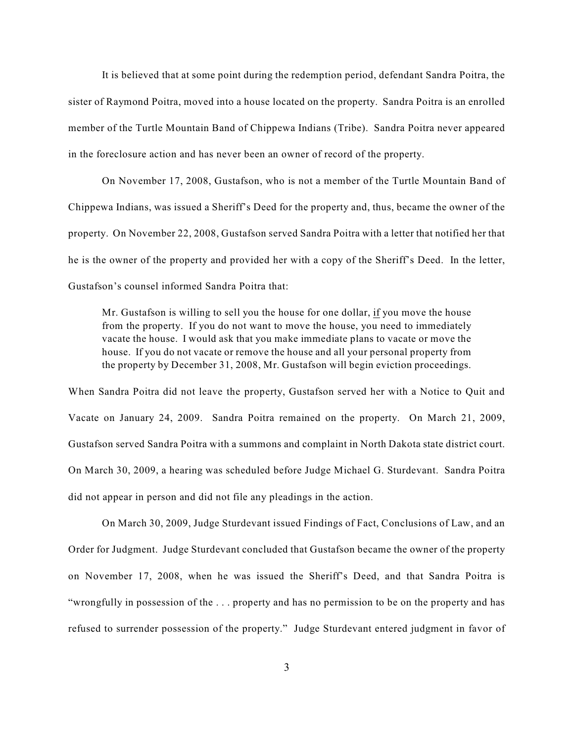It is believed that at some point during the redemption period, defendant Sandra Poitra, the sister of Raymond Poitra, moved into a house located on the property. Sandra Poitra is an enrolled member of the Turtle Mountain Band of Chippewa Indians (Tribe). Sandra Poitra never appeared in the foreclosure action and has never been an owner of record of the property.

On November 17, 2008, Gustafson, who is not a member of the Turtle Mountain Band of Chippewa Indians, was issued a Sheriff's Deed for the property and, thus, became the owner of the property. On November 22, 2008, Gustafson served Sandra Poitra with a letter that notified her that he is the owner of the property and provided her with a copy of the Sheriff's Deed. In the letter, Gustafson's counsel informed Sandra Poitra that:

Mr. Gustafson is willing to sell you the house for one dollar, if you move the house from the property. If you do not want to move the house, you need to immediately vacate the house. I would ask that you make immediate plans to vacate or move the house. If you do not vacate or remove the house and all your personal property from the property by December 31, 2008, Mr. Gustafson will begin eviction proceedings.

When Sandra Poitra did not leave the property, Gustafson served her with a Notice to Quit and Vacate on January 24, 2009. Sandra Poitra remained on the property. On March 21, 2009, Gustafson served Sandra Poitra with a summons and complaint in North Dakota state district court. On March 30, 2009, a hearing was scheduled before Judge Michael G. Sturdevant. Sandra Poitra did not appear in person and did not file any pleadings in the action.

On March 30, 2009, Judge Sturdevant issued Findings of Fact, Conclusions of Law, and an Order for Judgment. Judge Sturdevant concluded that Gustafson became the owner of the property on November 17, 2008, when he was issued the Sheriff's Deed, and that Sandra Poitra is "wrongfully in possession of the . . . property and has no permission to be on the property and has refused to surrender possession of the property." Judge Sturdevant entered judgment in favor of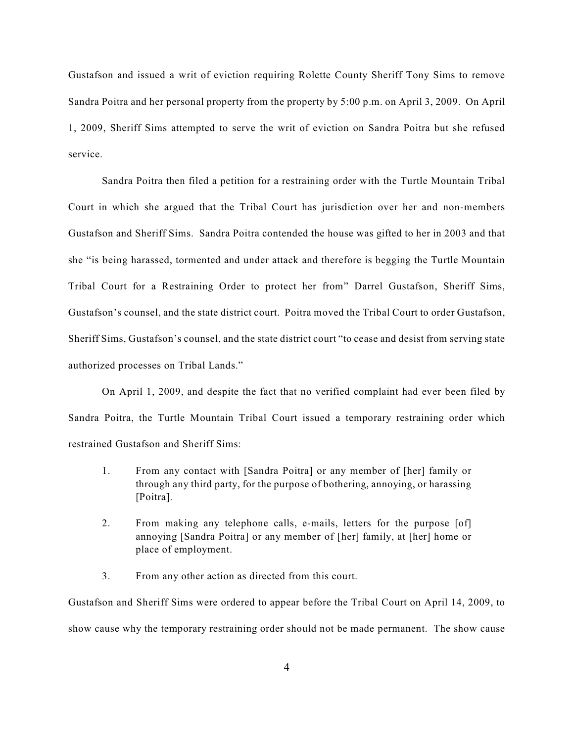Gustafson and issued a writ of eviction requiring Rolette County Sheriff Tony Sims to remove Sandra Poitra and her personal property from the property by 5:00 p.m. on April 3, 2009. On April 1, 2009, Sheriff Sims attempted to serve the writ of eviction on Sandra Poitra but she refused service.

Sandra Poitra then filed a petition for a restraining order with the Turtle Mountain Tribal Court in which she argued that the Tribal Court has jurisdiction over her and non-members Gustafson and Sheriff Sims. Sandra Poitra contended the house was gifted to her in 2003 and that she "is being harassed, tormented and under attack and therefore is begging the Turtle Mountain Tribal Court for a Restraining Order to protect her from" Darrel Gustafson, Sheriff Sims, Gustafson's counsel, and the state district court. Poitra moved the Tribal Court to order Gustafson, Sheriff Sims, Gustafson's counsel, and the state district court "to cease and desist from serving state authorized processes on Tribal Lands."

On April 1, 2009, and despite the fact that no verified complaint had ever been filed by Sandra Poitra, the Turtle Mountain Tribal Court issued a temporary restraining order which restrained Gustafson and Sheriff Sims:

- 1. From any contact with [Sandra Poitra] or any member of [her] family or through any third party, for the purpose of bothering, annoying, or harassing [Poitra].
- 2. From making any telephone calls, e-mails, letters for the purpose [of] annoying [Sandra Poitra] or any member of [her] family, at [her] home or place of employment.
- 3. From any other action as directed from this court.

Gustafson and Sheriff Sims were ordered to appear before the Tribal Court on April 14, 2009, to show cause why the temporary restraining order should not be made permanent. The show cause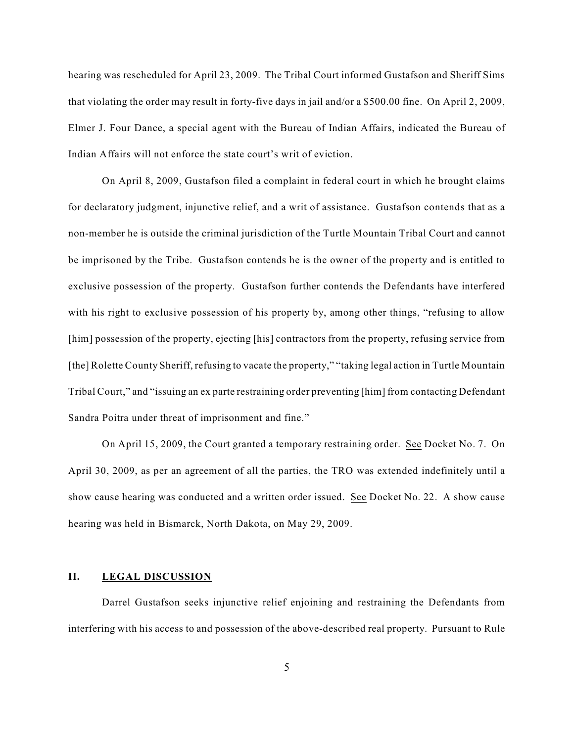hearing was rescheduled for April 23, 2009. The Tribal Court informed Gustafson and Sheriff Sims that violating the order may result in forty-five days in jail and/or a \$500.00 fine. On April 2, 2009, Elmer J. Four Dance, a special agent with the Bureau of Indian Affairs, indicated the Bureau of Indian Affairs will not enforce the state court's writ of eviction.

On April 8, 2009, Gustafson filed a complaint in federal court in which he brought claims for declaratory judgment, injunctive relief, and a writ of assistance. Gustafson contends that as a non-member he is outside the criminal jurisdiction of the Turtle Mountain Tribal Court and cannot be imprisoned by the Tribe. Gustafson contends he is the owner of the property and is entitled to exclusive possession of the property. Gustafson further contends the Defendants have interfered with his right to exclusive possession of his property by, among other things, "refusing to allow [him] possession of the property, ejecting [his] contractors from the property, refusing service from [the] Rolette County Sheriff, refusing to vacate the property," "taking legal action in Turtle Mountain Tribal Court," and "issuing an ex parte restraining order preventing [him] from contacting Defendant Sandra Poitra under threat of imprisonment and fine."

On April 15, 2009, the Court granted a temporary restraining order. See Docket No. 7. On April 30, 2009, as per an agreement of all the parties, the TRO was extended indefinitely until a show cause hearing was conducted and a written order issued. See Docket No. 22. A show cause hearing was held in Bismarck, North Dakota, on May 29, 2009.

## **II. LEGAL DISCUSSION**

Darrel Gustafson seeks injunctive relief enjoining and restraining the Defendants from interfering with his access to and possession of the above-described real property. Pursuant to Rule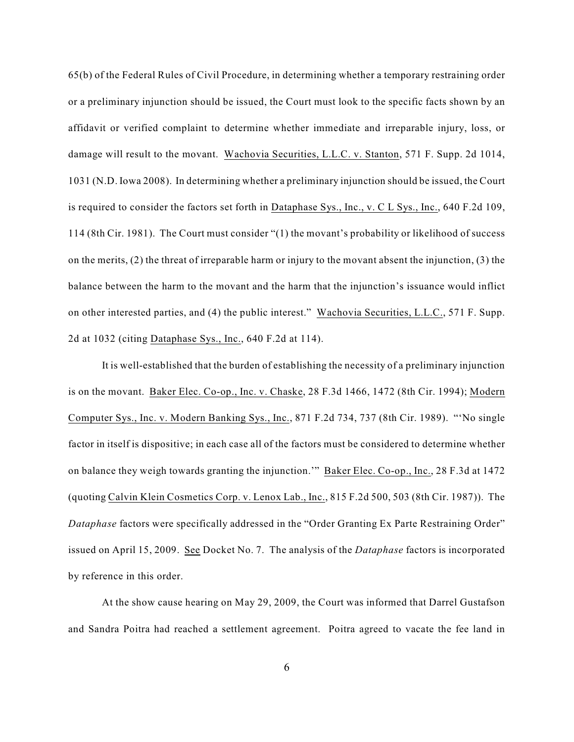65(b) of the Federal Rules of Civil Procedure, in determining whether a temporary restraining order or a preliminary injunction should be issued, the Court must look to the specific facts shown by an affidavit or verified complaint to determine whether immediate and irreparable injury, loss, or damage will result to the movant. Wachovia Securities, L.L.C. v. Stanton, 571 F. Supp. 2d 1014, 1031 (N.D. Iowa 2008). In determining whether a preliminary injunction should be issued, the Court is required to consider the factors set forth in Dataphase Sys., Inc., v. C L Sys., Inc., 640 F.2d 109, 114 (8th Cir. 1981). The Court must consider "(1) the movant's probability or likelihood of success on the merits, (2) the threat of irreparable harm or injury to the movant absent the injunction, (3) the balance between the harm to the movant and the harm that the injunction's issuance would inflict on other interested parties, and (4) the public interest." Wachovia Securities, L.L.C., 571 F. Supp. 2d at 1032 (citing Dataphase Sys., Inc., 640 F.2d at 114).

It is well-established that the burden of establishing the necessity of a preliminary injunction is on the movant. Baker Elec. Co-op., Inc. v. Chaske, 28 F.3d 1466, 1472 (8th Cir. 1994); Modern Computer Sys., Inc. v. Modern Banking Sys., Inc., 871 F.2d 734, 737 (8th Cir. 1989). "'No single factor in itself is dispositive; in each case all of the factors must be considered to determine whether on balance they weigh towards granting the injunction.'" Baker Elec. Co-op., Inc., 28 F.3d at 1472 (quoting Calvin Klein Cosmetics Corp. v. Lenox Lab., Inc., 815 F.2d 500, 503 (8th Cir. 1987)). The *Dataphase* factors were specifically addressed in the "Order Granting Ex Parte Restraining Order" issued on April 15, 2009. See Docket No. 7. The analysis of the *Dataphase* factors is incorporated by reference in this order.

At the show cause hearing on May 29, 2009, the Court was informed that Darrel Gustafson and Sandra Poitra had reached a settlement agreement. Poitra agreed to vacate the fee land in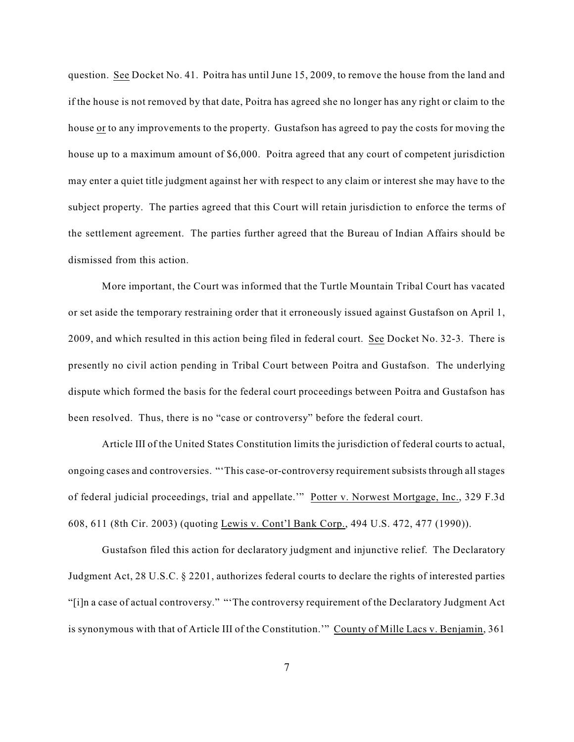question. See Docket No. 41. Poitra has until June 15, 2009, to remove the house from the land and if the house is not removed by that date, Poitra has agreed she no longer has any right or claim to the house or to any improvements to the property. Gustafson has agreed to pay the costs for moving the house up to a maximum amount of \$6,000. Poitra agreed that any court of competent jurisdiction may enter a quiet title judgment against her with respect to any claim or interest she may have to the subject property. The parties agreed that this Court will retain jurisdiction to enforce the terms of the settlement agreement. The parties further agreed that the Bureau of Indian Affairs should be dismissed from this action.

More important, the Court was informed that the Turtle Mountain Tribal Court has vacated or set aside the temporary restraining order that it erroneously issued against Gustafson on April 1, 2009, and which resulted in this action being filed in federal court. See Docket No. 32-3. There is presently no civil action pending in Tribal Court between Poitra and Gustafson. The underlying dispute which formed the basis for the federal court proceedings between Poitra and Gustafson has been resolved. Thus, there is no "case or controversy" before the federal court.

Article III of the United States Constitution limits the jurisdiction of federal courts to actual, ongoing cases and controversies. "'This case-or-controversy requirement subsists through all stages of federal judicial proceedings, trial and appellate.'" Potter v. Norwest Mortgage, Inc., 329 F.3d 608, 611 (8th Cir. 2003) (quoting Lewis v. Cont'l Bank Corp., 494 U.S. 472, 477 (1990)).

Gustafson filed this action for declaratory judgment and injunctive relief. The Declaratory Judgment Act, 28 U.S.C. § 2201, authorizes federal courts to declare the rights of interested parties "[i]n a case of actual controversy." "'The controversy requirement of the Declaratory Judgment Act is synonymous with that of Article III of the Constitution.'" County of Mille Lacs v. Benjamin, 361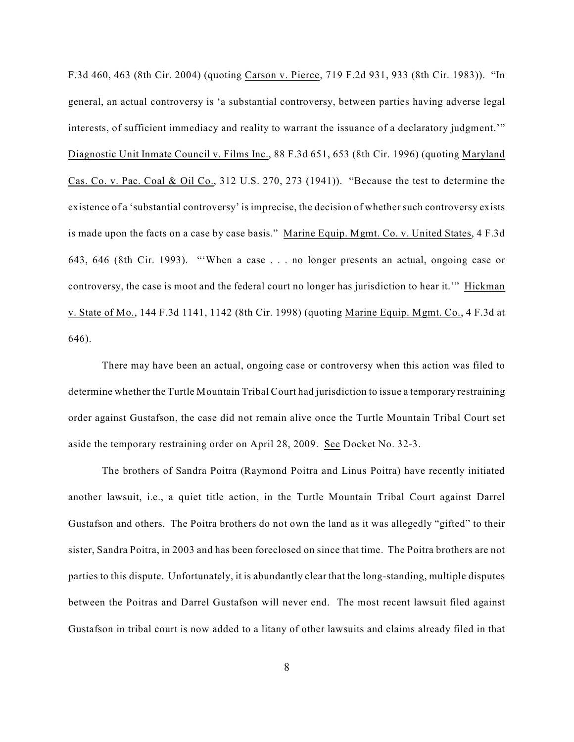F.3d 460, 463 (8th Cir. 2004) (quoting Carson v. Pierce, 719 F.2d 931, 933 (8th Cir. 1983)). "In general, an actual controversy is 'a substantial controversy, between parties having adverse legal interests, of sufficient immediacy and reality to warrant the issuance of a declaratory judgment.'" Diagnostic Unit Inmate Council v. Films Inc., 88 F.3d 651, 653 (8th Cir. 1996) (quoting Maryland Cas. Co. v. Pac. Coal & Oil Co., 312 U.S. 270, 273 (1941)). "Because the test to determine the existence of a 'substantial controversy' is imprecise, the decision of whether such controversy exists is made upon the facts on a case by case basis." Marine Equip. Mgmt. Co. v. United States, 4 F.3d 643, 646 (8th Cir. 1993). "'When a case . . . no longer presents an actual, ongoing case or controversy, the case is moot and the federal court no longer has jurisdiction to hear it.'" Hickman v. State of Mo., 144 F.3d 1141, 1142 (8th Cir. 1998) (quoting Marine Equip. Mgmt. Co., 4 F.3d at 646).

There may have been an actual, ongoing case or controversy when this action was filed to determine whether the Turtle Mountain Tribal Court had jurisdiction to issue a temporary restraining order against Gustafson, the case did not remain alive once the Turtle Mountain Tribal Court set aside the temporary restraining order on April 28, 2009. See Docket No. 32-3.

The brothers of Sandra Poitra (Raymond Poitra and Linus Poitra) have recently initiated another lawsuit, i.e., a quiet title action, in the Turtle Mountain Tribal Court against Darrel Gustafson and others. The Poitra brothers do not own the land as it was allegedly "gifted" to their sister, Sandra Poitra, in 2003 and has been foreclosed on since that time. The Poitra brothers are not parties to this dispute. Unfortunately, it is abundantly clear that the long-standing, multiple disputes between the Poitras and Darrel Gustafson will never end. The most recent lawsuit filed against Gustafson in tribal court is now added to a litany of other lawsuits and claims already filed in that